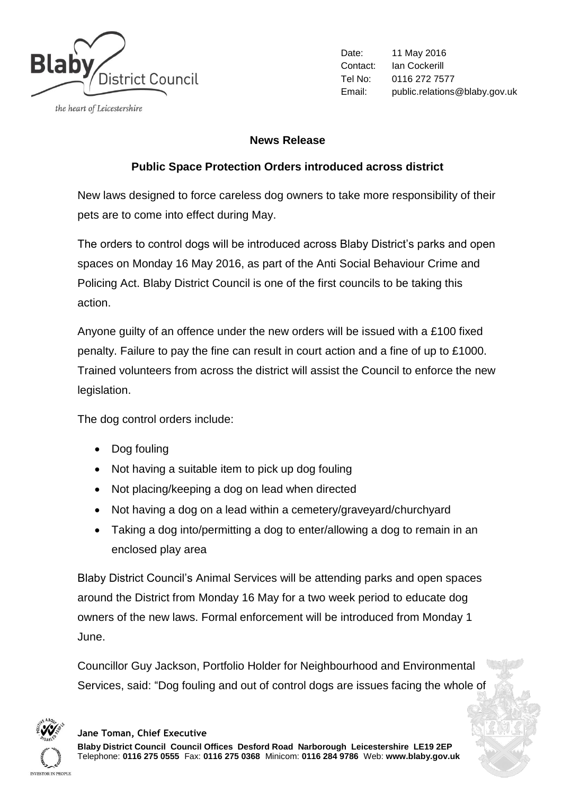

the heart of Leicestershire

Date: 11 May 2016 Contact: Ian Cockerill Tel No: 0116 272 7577 Email: public.relations@blaby.gov.uk

## **News Release**

## **Public Space Protection Orders introduced across district**

New laws designed to force careless dog owners to take more responsibility of their pets are to come into effect during May.

The orders to control dogs will be introduced across Blaby District's parks and open spaces on Monday 16 May 2016, as part of the Anti Social Behaviour Crime and Policing Act. Blaby District Council is one of the first councils to be taking this action.

Anyone guilty of an offence under the new orders will be issued with a £100 fixed penalty. Failure to pay the fine can result in court action and a fine of up to £1000. Trained volunteers from across the district will assist the Council to enforce the new legislation.

The dog control orders include:

- Dog fouling
- Not having a suitable item to pick up dog fouling
- Not placing/keeping a dog on lead when directed
- Not having a dog on a lead within a cemetery/graveyard/churchyard
- Taking a dog into/permitting a dog to enter/allowing a dog to remain in an enclosed play area

Blaby District Council's Animal Services will be attending parks and open spaces around the District from Monday 16 May for a two week period to educate dog owners of the new laws. Formal enforcement will be introduced from Monday 1 June.

Councillor Guy Jackson, Portfolio Holder for Neighbourhood and Environmental Services, said: "Dog fouling and out of control dogs are issues facing the whole of



## **Jane Toman, Chief Executive**

**Blaby District Council Council Offices Desford Road Narborough Leicestershire LE19 2EP** Telephone: **0116 275 0555** Fax: **0116 275 0368** Minicom: **0116 284 9786** Web: **www.blaby.gov.uk**